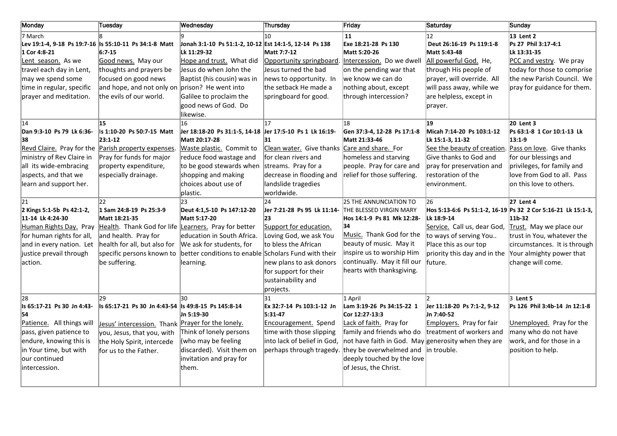| <b>Monday</b>                                                                                                                                                                         | Tuesday                                                                                                                                                                                                                     | Wednesday                                                                                                                                                                                                                  | Thursday                                                                                                                                                                                                   | Friday                                                                                                                                                                                                                                                  | Saturday                                                                                                                                                                                                   | Sunday                                                                                                                                                                                                                        |
|---------------------------------------------------------------------------------------------------------------------------------------------------------------------------------------|-----------------------------------------------------------------------------------------------------------------------------------------------------------------------------------------------------------------------------|----------------------------------------------------------------------------------------------------------------------------------------------------------------------------------------------------------------------------|------------------------------------------------------------------------------------------------------------------------------------------------------------------------------------------------------------|---------------------------------------------------------------------------------------------------------------------------------------------------------------------------------------------------------------------------------------------------------|------------------------------------------------------------------------------------------------------------------------------------------------------------------------------------------------------------|-------------------------------------------------------------------------------------------------------------------------------------------------------------------------------------------------------------------------------|
| 7 March<br>1 Cor 4:8-21<br>Lent season. As we<br>travel each day in Lent,<br>may we spend some<br>time in regular, specific<br>prayer and meditation.                                 | Lev 19:1-4, 9-18 Ps 19:7-16 Is 55:10-11 Ps 34:1-8 Matt<br>$6:7-15$<br>Good news. May our<br>thoughts and prayers be<br>focused on good news<br>and hope, and not only on $prison$ ? He went into<br>the evils of our world. | Jonah 3:1-10 Ps 51:1-2, 10-12 Est 14:1-5, 12-14 Ps 138<br>Lk 11:29-32<br>Hope and trust. What did<br>Jesus do when John the<br>Baptist (his cousin) was in<br>Galilee to proclaim the<br>good news of God. Do<br>likewise. | 10<br>Matt 7:7-12<br>Opportunity springboard.<br>Jesus turned the bad<br>news to opportunity. In<br>the setback He made a<br>springboard for good.                                                         | 11<br>Exe 18:21-28 Ps 130<br>Matt 5:20-26<br>Intercession. Do we dwell<br>on the pending war that<br>we know we can do<br>nothing about, except<br>through intercession?                                                                                | 12<br>Deut 26:16-19 Ps 119:1-8<br>Matt 5:43-48<br>All powerful God. He,<br>through His people of<br>prayer, will override. All<br>will pass away, while we<br>are helpless, except in<br>prayer.           | 13 Lent 2<br>Ps 27 Phil 3:17-4:1<br>Lk 13:31-35<br>PCC and vestry. We pray<br>today for those to comprise<br>the new Parish Council. We<br>pray for guidance for them.                                                        |
| 14<br>Dan 9:3-10 Ps 79 Lk 6:36-<br>38<br>Revd Claire. Pray for the<br>ministry of Rev Claire in<br>all its wide-embracing<br>aspects, and that we<br>learn and support her.           | 15<br>Is 1:10-20 Ps 50:7-15 Matt<br>23:1-12<br>Parish property expenses.<br>Pray for funds for major<br>property expenditure,<br>especially drainage.                                                                       | 16<br>Jer 18:18-20 Ps 31:1-5, 14-18<br>Matt 20:17-28<br>Waste plastic. Commit to<br>reduce food wastage and<br>to be good stewards when<br>shopping and making<br>choices about use of<br>plastic.                         | 17<br>Jer 17:5-10 Ps 1 Lk 16:19-<br>31<br>Clean water. Give thanks Care and share. For<br>for clean rivers and<br>streams. Pray for a<br>decrease in flooding and<br>landslide tragedies<br>worldwide.     | 18<br>Gen 37:3-4, 12-28 Ps 17:1-8<br>Matt 21:33-46<br>homeless and starving<br>people. Pray for care and<br>relief for those suffering.                                                                                                                 | 19<br>Micah 7:14-20 Ps 103:1-12<br>Lk 15:1-3, 11-32<br>See the beauty of creation. Pass on love. Give thanks<br>Give thanks to God and<br>pray for preservation and<br>restoration of the<br>lenvironment. | 20 Lent 3<br>Ps 63:1-8 1 Cor 10:1-13 Lk<br>$13:1-9$<br>for our blessings and<br>privileges, for family and<br>love from God to all. Pass<br>on this love to others.                                                           |
| 21<br>2 Kings 5:1-5b Ps 42:1-2,<br>11-14 Lk 4:24-30<br>Human Rights Day. Pray<br>for human rights for all,<br>and in every nation. Let<br>justice prevail through<br>laction.         | 22<br>1 Sam 24:8-19 Ps 25:3-9<br>Matt 18:21-35<br>Health. Thank God for life Learners. Pray for better<br>and health. Pray for<br>health for all, but also for<br>specific persons known to<br>be suffering.                | 23<br>Deut 4:1.5-10 Ps 147:12-20<br>Matt 5:17-20<br>education in South Africa.<br>We ask for students, for<br>better conditions to enable Scholars Fund with their<br>learning.                                            | 24<br>Jer 7:21-28 Ps 95 Lk 11:14-<br>23<br>Support for education.<br>Loving God, we ask You<br>to bless the African<br>new plans to ask donors<br>for support for their<br>sustainability and<br>projects. | 25 THE ANNUNCIATION TO<br>THE BLESSED VIRGIN MARY<br>Hos 14:1-9 Ps 81 Mk 12:28-<br>34<br>Music. Thank God for the<br>beauty of music. May it<br>inspire us to worship Him<br>continually. May it fill our<br>hearts with thanksgiving.                  | 26<br>Lk 18:9-14<br>Service. Call us, dear God,<br>to ways of serving You<br>Place this as our top<br>priority this day and in the<br>future.                                                              | 27 Lent 4<br>Hos 5:13-6:6 Ps 51:1-2, 16-19 Ps 32 2 Cor 5:16-21 Lk 15:1-3,<br>11b-32<br>Trust. May we place our<br>trust in You, whatever the<br>circumstances. It is through<br>Your almighty power that<br>change will come. |
| 28<br>Is 65:17-21 Ps 30 Jn 4:43-<br>54<br>Patience. All things will<br>pass, given patience to<br>endure, knowing this is<br>in Your time, but with<br>our continued<br>intercession. | 29<br>ls 65:17-21 Ps 30 Jn 4:43-54 ls 49:8-15 Ps 145:8-14<br><u>Jesus' intercession.</u> Thank Prayer for the lonely.<br>you, Jesus, that you, with<br>the Holy Spirit, intercede<br>for us to the Father.                  | 30<br>Jn 5:19-30<br>Think of lonely persons<br>(who may be feeling<br>discarded). Visit them on<br>invitation and pray for<br>lthem.                                                                                       | 31<br>Ex 32:7-14 Ps 103:1-12 Jn<br>5:31-47<br>Encouragement. Spend<br>time with those slipping<br>into lack of belief in God,<br>perhaps through tragedy.                                                  | 1 April<br>Lam 3:19-26 Ps 34:15-22 1<br>Cor 12:27-13:3<br>Lack of faith. Pray for<br>family and friends who do<br>not have faith in God. May generosity when they are<br>they be overwhelmed and<br>deeply touched by the love<br>of Jesus, the Christ. | Jer 11:18-20 Ps 7:1-2, 9-12<br>Jn 7:40-52<br><b>Employers.</b> Pray for fair<br>treatment of workers and<br>lin trouble.                                                                                   | $3$ Lent 5<br>Ps 126 Phil 3:4b-14 Jn 12:1-8<br>Unemployed. Pray for the<br>many who do not have<br>work, and for those in a<br>position to help.                                                                              |